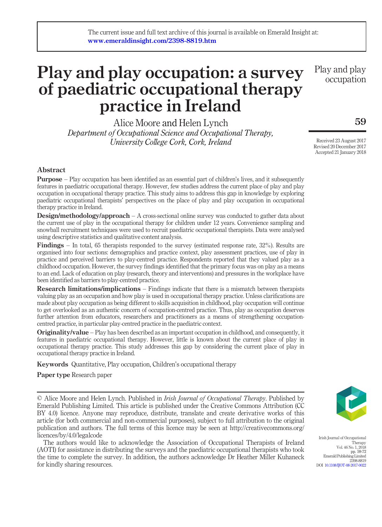# Play and play occupation: a survey of paediatric occupational therapy practice in Ireland

Alice Moore and Helen Lynch Department of Occupational Science and Occupational Therapy, University College Cork, Cork, Ireland

#### Abstract

Purpose – Play occupation has been identified as an essential part of children's lives, and it subsequently features in paediatric occupational therapy. However, few studies address the current place of play and play occupation in occupational therapy practice. This study aims to address this gap in knowledge by exploring paediatric occupational therapists' perspectives on the place of play and play occupation in occupational therapy practice in Ireland.

**Design/methodology/approach** – A cross-sectional online survey was conducted to gather data about the current use of play in the occupational therapy for children under 12 years. Convenience sampling and snowball recruitment techniques were used to recruit paediatric occupational therapists. Data were analysed using descriptive statistics and qualitative content analysis.

Findings – In total, 65 therapists responded to the survey (estimated response rate, 32%). Results are organised into four sections: demographics and practice context, play assessment practices, use of play in practice and perceived barriers to play-centred practice. Respondents reported that they valued play as a childhood occupation. However, the survey findings identified that the primary focus was on play as a means to an end. Lack of education on play (research, theory and interventions) and pressures in the workplace have been identified as barriers to play-centred practice.

Research limitations/implications - Findings indicate that there is a mismatch between therapists valuing play as an occupation and how play is used in occupational therapy practice. Unless clarifications are made about play occupation as being different to skills acquisition in childhood, play occupation will continue to get overlooked as an authentic concern of occupation-centred practice. Thus, play as occupation deserves further attention from educators, researchers and practitioners as a means of strengthening occupationcentred practice, in particular play-centred practice in the paediatric context.

**Originality/value** – Play has been described as an important occupation in childhood, and consequently, it features in paediatric occupational therapy. However, little is known about the current place of play in occupational therapy practice. This study addresses this gap by considering the current place of play in occupational therapy practice in Ireland.

Keywords Quantitative, Play occupation, Children's occupational therapy

Paper type Research paper

© Alice Moore and Helen Lynch. Published in *Irish Journal of Occupational Therapy*. Published by Emerald Publishing Limited. This article is published under the Creative Commons Attribution (CC BY 4.0) licence. Anyone may reproduce, distribute, translate and create derivative works of this article (for both commercial and non-commercial purposes), subject to full attribution to the original publication and authors. The full terms of this licence may be seen at http://creativecommons.org/ licences/by/4.0/legalcode

The authors would like to acknowledge the Association of Occupational Therapists of Ireland (AOTI) for assistance in distributing the surveys and the paediatric occupational therapists who took the time to complete the survey. In addition, the authors acknowledge Dr Heather Miller Kuhaneck for kindly sharing resources.



Play and play occupation

59

Received 23 August 2017 Revised 20 December 2017 Accepted 21 January 2018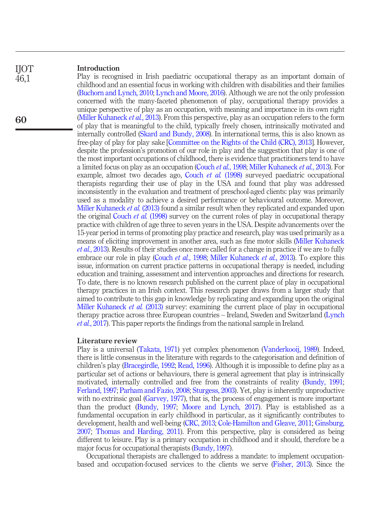#### Introduction IJOT

46,1

60

Play is recognised in Irish paediatric occupational therapy as an important domain of childhood and an essential focus in working with children with disabilities and their families [\(Buchorn and Lynch, 2010;](#page-11-0) [Lynch and Moore, 2016\)](#page-12-0). Although we are not the only profession concerned with the many-faceted phenomenon of play, occupational therapy provides a unique perspective of play as an occupation, with meaning and importance in its own right [\(Miller Kuhaneck](#page-12-1) *et al.*, 2013). From this perspective, play as an occupation refers to the form of play that is meaningful to the child, typically freely chosen, intrinsically motivated and internally controlled [\(Skard and Bundy, 2008](#page-13-0)). In international terms, this is also known as free-play of play for play sake [[Committee on the Rights of the Child \(CRC\), 2013\]](#page-11-1). However, despite the profession's promotion of our role in play and the suggestion that play is one of the most important occupations of childhood, there is evidence that practitioners tend to have a limited focus on play as an occupation [\(Couch](#page-11-2) et al., 1998; [Miller Kuhaneck](#page-12-1) et al., 2013). For example, almost two decades ago, [Couch](#page-11-2) et al. (1998) surveyed paediatric occupational therapists regarding their use of play in the USA and found that play was addressed inconsistently in the evaluation and treatment of preschool-aged clients: play was primarily used as a modality to achieve a desired performance or behavioural outcome. Moreover, [Miller Kuhaneck](#page-12-1) et al. (2013) found a similar result when they replicated and expanded upon the original [Couch](#page-11-2) et al. (1998) survey on the current roles of play in occupational therapy practice with children of age three to seven years in the USA. Despite advancements over the 15-year period in terms of promoting play practice and research, play was used primarily as a means of eliciting improvement in another area, such as fine motor skills [\(Miller Kuhaneck](#page-12-1) et al.[, 2013](#page-12-1)). Results of their studies once more called for a change in practice if we are to fully embrace our role in play ([Couch](#page-11-2) *et al.*, 1998; [Miller Kuhaneck](#page-12-1) *et al.*, 2013). To explore this issue, information on current practice patterns in occupational therapy is needed, including education and training, assessment and intervention approaches and directions for research. To date, there is no known research published on the current place of play in occupational therapy practices in an Irish context. This research paper draws from a larger study that aimed to contribute to this gap in knowledge by replicating and expanding upon the original [Miller Kuhaneck](#page-12-1) et al. (2013) survey: examining the current place of play in occupational therapy practice across three European countries – Ireland, Sweden and Switzerland [\(Lynch](#page-12-2) et al.[, 2017\)](#page-12-2). This paper reports the findings from the national sample in Ireland.

## Literature review

Play is a universal [\(Takata, 1971\)](#page-13-1) yet complex phenomenon [\(Vanderkooij, 1989\)](#page-13-2). Indeed, there is little consensus in the literature with regards to the categorisation and definition of children's play [\(Bracegirdle, 1992;](#page-11-3) [Read, 1996\)](#page-13-3). Although it is impossible to define play as a particular set of actions or behaviours, there is general agreement that play is intrinsically motivated, internally controlled and free from the constraints of reality ([Bundy, 1991;](#page-11-4) [Ferland, 1997;](#page-12-3) [Parham and Fazio, 2008;](#page-13-4) [Sturgess, 2003](#page-13-5)). Yet, play is inherently unproductive with no extrinsic goal ([Garvey, 1977\)](#page-12-4), that is, the process of engagement is more important than the product [\(Bundy, 1997;](#page-11-5) [Moore and Lynch, 2017\)](#page-12-5). Play is established as a fundamental occupation in early childhood in particular, as it significantly contributes to development, health and well-being [\(CRC, 2013;](#page-11-1) [Cole-Hamilton and Gleave, 2011;](#page-11-6) [Ginsburg,](#page-12-6) [2007](#page-12-6); [Thomas and Harding, 2011](#page-13-6)). From this perspective, play is considered as being different to leisure. Play is a primary occupation in childhood and it should, therefore be a major focus for occupational therapists [\(Bundy, 1997\)](#page-11-5).

Occupational therapists are challenged to address a mandate: to implement occupationbased and occupation-focused services to the clients we serve ([Fisher, 2013](#page-12-7)). Since the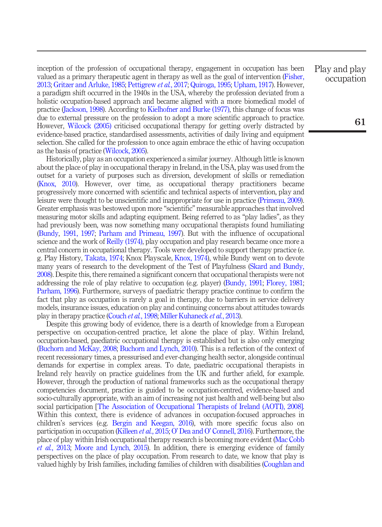inception of the profession of occupational therapy, engagement in occupation has been valued as a primary therapeutic agent in therapy as well as the goal of intervention [\(Fisher,](#page-12-7) [2013](#page-12-7); [Gritzer and Arluke, 1985](#page-12-8); [Pettigrew](#page-13-7) et al., 2017; [Quiroga, 1995](#page-13-8); [Upham, 1917](#page-13-9)). However, a paradigm shift occurred in the 1940s in the USA, whereby the profession deviated from a holistic occupation-based approach and became aligned with a more biomedical model of practice [\(Jackson, 1998\)](#page-12-9). According to [Kielhofner and Burke \(1977\)](#page-12-10), this change of focus was due to external pressure on the profession to adopt a more scientific approach to practice. However, [Wilcock \(2005\)](#page-13-10) criticised occupational therapy for getting overly distracted by evidence-based practice, standardised assessments, activities of daily living and equipment selection. She called for the profession to once again embrace the ethic of having occupation as the basis of practice ([Wilcock, 2005](#page-13-10)).

Historically, play as an occupation experienced a similar journey. Although little is known about the place of play in occupational therapy in Ireland, in the USA, play was used from the outset for a variety of purposes such as diversion, development of skills or remediation [\(Knox, 2010\)](#page-12-11). However, over time, as occupational therapy practitioners became progressively more concerned with scientific and technical aspects of intervention, play and leisure were thought to be unscientific and inappropriate for use in practice ([Primeau, 2009\)](#page-13-11). Greater emphasis was bestowed upon more "scientific" measurable approaches that involved measuring motor skills and adapting equipment. Being referred to as "play ladies", as they had previously been, was now something many occupational therapists found humiliating [\(Bundy,](#page-11-4) [1991, 1997](#page-11-5); [Parham and Primeau, 1997](#page-13-12)). But with the influence of occupational science and the work of [Reilly \(1974\),](#page-13-13) play occupation and play research became once more a central concern in occupational therapy. Tools were developed to support therapy practice (e. g. Play History, [Takata, 1974](#page-13-14); Knox Playscale, [Knox, 1974\)](#page-12-12), while Bundy went on to devote many years of research to the development of the Test of Playfulness [\(Skard and Bundy,](#page-13-0) [2008](#page-13-0)). Despite this, there remained a significant concern that occupational therapists were not addressing the role of play relative to occupation (e.g. player) [\(Bundy, 1991](#page-11-4); [Florey, 1981](#page-12-13); [Parham, 1996\)](#page-13-15). Furthermore, surveys of paediatric therapy practice continue to confirm the fact that play as occupation is rarely a goal in therapy, due to barriers in service delivery models, insurance issues, education on play and continuing concerns about attitudes towards play in therapy practice [\(Couch](#page-11-2) *et al.*, 1998; [Miller Kuhaneck](#page-12-1) *et al.*, 2013).

Despite this growing body of evidence, there is a dearth of knowledge from a European perspective on occupation-centred practice, let alone the place of play. Within Ireland, occupation-based, paediatric occupational therapy is established but is also only emerging [\(Buchorn and McKay, 2008;](#page-11-7) [Buchorn and Lynch, 2010\)](#page-11-0). This is a reflection of the context of recent recessionary times, a pressurised and ever-changing health sector, alongside continual demands for expertise in complex areas. To date, paediatric occupational therapists in Ireland rely heavily on practice guidelines from the UK and further afield, for example. However, through the production of national frameworks such as the occupational therapy competencies document, practice is guided to be occupation-centred, evidence-based and socio-culturally appropriate, with an aim of increasing not just health and well-being but also social participation [[The Association of Occupational Therapists of Ireland \(AOTI\), 2008\]](#page-11-8). Within this context, there is evidence of advances in occupation-focused approaches in children's services (e.g. [Bergin and Keegan, 2016](#page-11-9)), with more specific focus also on participation in occupation ([Killeen](#page-12-14) et al., 2015; O' Dea and O' [Connell, 2016\)](#page-13-16). Furthermore, the place of play within Irish occupational therapy research is becoming more evident ([Mac Cobb](#page-12-15) et al.[, 2013;](#page-12-15) [Moore and Lynch, 2015](#page-12-16)). In addition, there is emerging evidence of family perspectives on the place of play occupation. From research to date, we know that play is valued highly by Irish families, including families of children with disabilities [\(Coughlan and](#page-11-10) Play and play occupation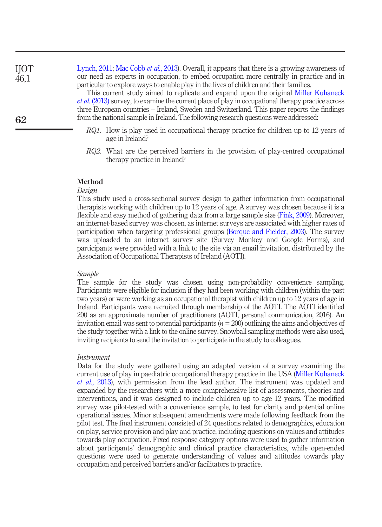[Lynch, 2011](#page-11-10); [Mac Cobb](#page-12-15) *et al.*, 2013). Overall, it appears that there is a growing awareness of our need as experts in occupation, to embed occupation more centrally in practice and in particular to explore ways to enable play in the lives of children and their families.

This current study aimed to replicate and expand upon the original [Miller Kuhaneck](#page-12-1) et al. [\(2013\)](#page-12-1) survey, to examine the current place of play in occupational therapy practice across three European countries – Ireland, Sweden and Switzerland. This paper reports the findings from the national sample in Ireland. The following research questions were addressed:

- $RQ1$ . How is play used in occupational therapy practice for children up to 12 years of age in Ireland?
- RQ2. What are the perceived barriers in the provision of play-centred occupational therapy practice in Ireland?

#### Method

# Design

This study used a cross-sectional survey design to gather information from occupational therapists working with children up to 12 years of age. A survey was chosen because it is a flexible and easy method of gathering data from a large sample size ([Fink, 2009](#page-12-17)). Moreover, an internet-based survey was chosen, as internet surveys are associated with higher rates of participation when targeting professional groups [\(Borque and Fielder, 2003\)](#page-11-11). The survey was uploaded to an internet survey site (Survey Monkey and Google Forms), and participants were provided with a link to the site via an email invitation, distributed by the Association of Occupational Therapists of Ireland (AOTI).

#### **Sample**

The sample for the study was chosen using non-probability convenience sampling. Participants were eligible for inclusion if they had been working with children (within the past two years) or were working as an occupational therapist with children up to 12 years of age in Ireland. Participants were recruited through membership of the AOTI. The AOTI identified 200 as an approximate number of practitioners (AOTI, personal communication, 2016). An invitation email was sent to potential participants  $(n = 200)$  outlining the aims and objectives of the study together with a link to the online survey. Snowball sampling methods were also used, inviting recipients to send the invitation to participate in the study to colleagues.

#### Instrument

Data for the study were gathered using an adapted version of a survey examining the current use of play in paediatric occupational therapy practice in the USA [\(Miller Kuhaneck](#page-12-1) et al.[, 2013](#page-12-1)), with permission from the lead author. The instrument was updated and expanded by the researchers with a more comprehensive list of assessments, theories and interventions, and it was designed to include children up to age 12 years. The modified survey was pilot-tested with a convenience sample, to test for clarity and potential online operational issues. Minor subsequent amendments were made following feedback from the pilot test. The final instrument consisted of 24 questions related to demographics, education on play, service provision and play and practice, including questions on values and attitudes towards play occupation. Fixed response category options were used to gather information about participants' demographic and clinical practice characteristics, while open-ended questions were used to generate understanding of values and attitudes towards play occupation and perceived barriers and/or facilitators to practice.

IJOT 46,1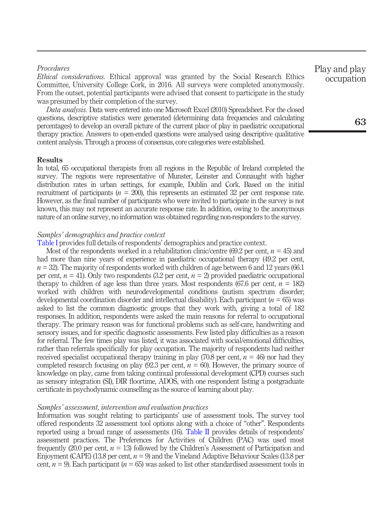#### Procedures

Ethical considerations. Ethical approval was granted by the Social Research Ethics Committee, University College Cork, in 2016. All surveys were completed anonymously. From the outset, potential participants were advised that consent to participate in the study was presumed by their completion of the survey.

Data analysis. Data were entered into one Microsoft Excel (2010) Spreadsheet. For the closed questions, descriptive statistics were generated (determining data frequencies and calculating percentages) to develop an overall picture of the current place of play in paediatric occupational therapy practice. Answers to open-ended questions were analysed using descriptive qualitative content analysis. Through a process of consensus, core categories were established.

## **Results**

In total, 65 occupational therapists from all regions in the Republic of Ireland completed the survey. The regions were representative of Munster, Leinster and Connaught with higher distribution rates in urban settings, for example, Dublin and Cork. Based on the initial recruitment of participants ( $n = 200$ ), this represents an estimated 32 per cent response rate. However, as the final number of participants who were invited to participate in the survey is not known, this may not represent an accurate response rate. In addition, owing to the anonymous nature of an online survey, no information was obtained regarding non-responders to the survey.

#### Samples' demographics and practice context

[Table I](#page-5-0) provides full details of respondents' demographics and practice context.

Most of the respondents worked in a rehabilitation clinic/centre (69.2 per cent,  $n = 45$ ) and had more than nine years of experience in paediatric occupational therapy (49.2 per cent,  $n = 32$ ). The majority of respondents worked with children of age between 6 and 12 years (66.1) per cent,  $n = 41$ ). Only two respondents (3.2 per cent,  $n = 2$ ) provided paediatric occupational therapy to children of age less than three years. Most respondents (67.6 per cent,  $n = 182$ ) worked with children with neurodevelopmental conditions (autism spectrum disorder; developmental coordination disorder and intellectual disability). Each participant ( $n = 65$ ) was asked to list the common diagnostic groups that they work with, giving a total of 182 responses. In addition, respondents were asked the main reasons for referral to occupational therapy. The primary reason was for functional problems such as self-care, handwriting and sensory issues, and for specific diagnostic assessments. Few listed play difficulties as a reason for referral. The few times play was listed, it was associated with social/emotional difficulties, rather than referrals specifically for play occupation. The majority of respondents had neither received specialist occupational therapy training in play (70.8 per cent,  $n = 46$ ) nor had they completed research focusing on play (92.3 per cent,  $n = 60$ ). However, the primary source of knowledge on play, came from taking continual professional development (CPD) courses such as sensory integration (SI), DIR floortime, ADOS, with one respondent listing a postgraduate certificate in psychodynamic counselling as the source of learning about play.

# Samples' assessment, intervention and evaluation practices

Information was sought relating to participants' use of assessment tools. The survey tool offered respondents 32 assessment tool options along with a choice of "other". Respondents reported using a broad range of assessments (16). [Table II](#page-6-0) provides details of respondents' assessment practices. The Preferences for Activities of Children (PAC) was used most frequently (20.0 per cent,  $n = 13$ ) followed by the Children's Assessment of Participation and Enjoyment (CAPE) (13.8 per cent,  $n = 9$ ) and the Vineland Adaptive Behaviour Scales (13.8 per cent,  $n = 9$ ). Each participant ( $n = 65$ ) was asked to list other standardised assessment tools in Play and play occupation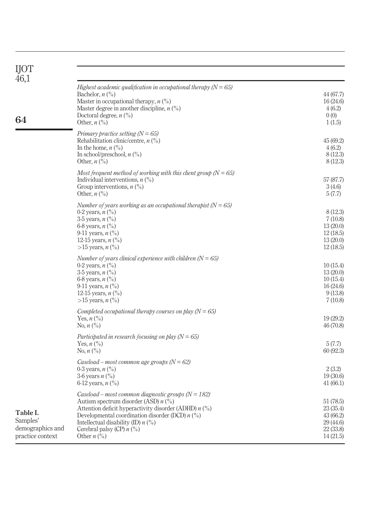<span id="page-5-0"></span>

| <b>IJOT</b>                                                  |                                                                                                                                                                                                                                                                                                                              |                                                                       |  |
|--------------------------------------------------------------|------------------------------------------------------------------------------------------------------------------------------------------------------------------------------------------------------------------------------------------------------------------------------------------------------------------------------|-----------------------------------------------------------------------|--|
| 46,1<br>64                                                   | Highest academic qualification in occupational therapy ( $N = 65$ )<br>Bachelor, $n\left(\frac{0}{0}\right)$<br>Master in occupational therapy, $n$ (%)<br>Master degree in another discipline, $n$ (%)<br>Doctoral degree, $n$ (%)<br>Other, $n\left(\frac{0}{0}\right)$                                                    | 44 (67.7)<br>16(24.6)<br>4(6.2)<br>0(0)<br>1(1.5)                     |  |
|                                                              | Primary practice setting ( $N = 65$ )<br>Rehabilitation clinic/centre, $n$ (%)<br>In the home, $n\binom{0}{0}$<br>In school/preschool, $n$ (%)<br>Other, $n\left(\frac{0}{0}\right)$                                                                                                                                         | 45(69.2)<br>4(6.2)<br>8(12.3)<br>8 (12.3)                             |  |
|                                                              | Most frequent method of working with this client group ( $N = 65$ )<br>Individual interventions, $n$ (%)<br>Group interventions, $n$ (%)<br>Other, $n\binom{0}{0}$                                                                                                                                                           | 57 (87.7)<br>3(4.6)<br>5(7.7)                                         |  |
|                                                              | Number of years working as an occupational therapist ( $N = 65$ )<br>0-2 years, $n\binom{0}{0}$<br>3-5 years, $n\binom{0}{0}$<br>6-8 years, $n\binom{0}{0}$<br>9-11 years, $n\binom{0}{0}$<br>12-15 years, $n\binom{0}{0}$<br>>15 years, $n\binom{0}{0}$                                                                     | 8(12.3)<br>7(10.8)<br>13(20.0)<br>12(18.5)<br>13(20.0)<br>12(18.5)    |  |
|                                                              | Number of years clinical experience with children ( $N = 65$ )<br>0-2 years, $n\binom{0}{0}$<br>3-5 years, $n\binom{0}{0}$<br>6-8 years, $n\binom{0}{0}$<br>9-11 years, $n\binom{0}{0}$<br>12-15 years, $n\binom{0}{0}$<br>$>15$ years, $n\binom{0}{0}$                                                                      | 10(15.4)<br>13(20.0)<br>10(15.4)<br>16(24.6)<br>9(13.8)<br>7(10.8)    |  |
|                                                              | Completed occupational therapy courses on play ( $N = 65$ )<br>Yes, $n\binom{0}{0}$<br>No, $n\binom{0}{0}$                                                                                                                                                                                                                   | 19(29.2)<br>46 (70.8)                                                 |  |
|                                                              | Participated in research focusing on play ( $N = 65$ )<br>Yes, $n\binom{0}{0}$<br>No, $n\binom{0}{0}$                                                                                                                                                                                                                        | 5(7.7)<br>60(92.3)                                                    |  |
|                                                              | Caseload – most common age groups ( $N = 62$ )<br>0-3 years, $n\binom{0}{0}$<br>3-6 years $n\binom{0}{0}$<br>6-12 years, $n\binom{0}{0}$                                                                                                                                                                                     | 2(3.2)<br>19(30.6)<br>41(66.1)                                        |  |
| Table I.<br>Samples'<br>demographics and<br>practice context | Caseload – most common diagnostic groups ( $N = 182$ )<br>Autism spectrum disorder (ASD) $n$ (%)<br>Attention deficit hyperactivity disorder (ADHD) $n$ (%)<br>Developmental coordination disorder (DCD) $n$ (%)<br>Intellectual disability (ID) $n$ (%)<br>Cerebral palsy (CP) $n$ (%)<br>Other $n\left(\frac{0}{0}\right)$ | 51 (78.5)<br>23(35.4)<br>43(66.2)<br>29(44.6)<br>22(33.8)<br>14(21.5) |  |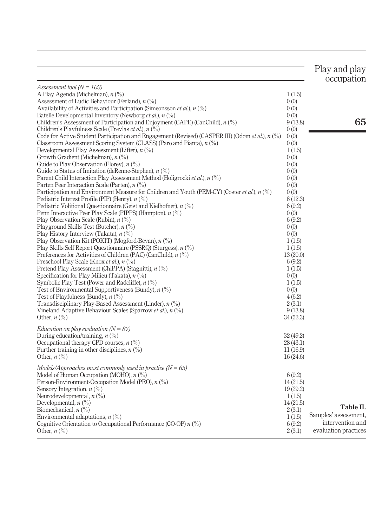<span id="page-6-0"></span>

|                                                                                                                                       |                | Play and play<br>occupation |
|---------------------------------------------------------------------------------------------------------------------------------------|----------------|-----------------------------|
| Assessment tool ( $N = 103$ )                                                                                                         |                |                             |
| A Play Agenda (Michelman), $n$ (%)                                                                                                    | 1(1.5)         |                             |
| Assessment of Ludic Behaviour (Ferland), $n$ (%)                                                                                      | 0(0)           |                             |
| Availability of Activities and Participation (Simeonsson <i>et al.</i> ), $n$ (%)                                                     | 0(0)           |                             |
| Batelle Developmental Inventory (Newborg et al.), n (%)                                                                               | 0(0)           |                             |
| Children's Assessment of Participation and Enjoyment (CAPE) (CanChild), $n$ (%)                                                       | 9(13.8)        | 65                          |
| Children's Playfulness Scale (Trevlas <i>et al.</i> ), $n$ (%)                                                                        | 0(0)           |                             |
| Code for Active Student Participation and Engagement (Revised) (CASPER III) (Odom <i>et al.</i> ), $n \binom{9}{0}$                   | 0(0)           |                             |
| Classroom Assessment Scoring System (CLASS) (Paro and Pianta), $n$ (%)                                                                | 0(0)<br>1(1.5) |                             |
| Developmental Play Assessment (Lifter), $n$ (%)                                                                                       |                |                             |
| Growth Gradient (Michelman), $n$ (%)                                                                                                  | 0(0)           |                             |
| Guide to Play Observation (Florey), $n$ (%)                                                                                           | 0(0)           |                             |
| Guide to Status of Imitation (deRenne-Stephen), $n$ (%)<br>Parent Child Interaction Play Assessment Method (Holigrocki et al.), n (%) | 0(0)<br>0(0)   |                             |
| Parten Peer Interaction Scale (Parten), $n$ (%)                                                                                       | 0(0)           |                             |
| Participation and Environment Measure for Children and Youth (PEM-CY) (Coster et al.), n (%)                                          | 0(0)           |                             |
| Pediatric Interest Profile (PIP) (Henry), $n$ (%)                                                                                     | 8(12.3)        |                             |
| Pediatric Volitional Questionnaire (Geist and Kielhofner), $n$ (%)                                                                    | 6(9.2)         |                             |
| Penn Interactive Peer Play Scale (PIPPS) (Hampton), $n$ (%)                                                                           | 0(0)           |                             |
| Play Observation Scale (Rubin), $n$ (%)                                                                                               | 6(9.2)         |                             |
| Playground Skills Test (Butcher), $n$ (%)                                                                                             | 0(0)           |                             |
| Play History Interview (Takata), $n$ (%)                                                                                              | 0(0)           |                             |
| Play Observation Kit (POKIT) (Mogford-Bevan), $n$ (%)                                                                                 | 1(1.5)         |                             |
| Play Skills Self Report Questionnaire (PSSRQ) (Sturgess), $n$ (%)                                                                     | 1(1.5)         |                             |
| Preferences for Activities of Children (PAC) (CanChild), $n$ (%)                                                                      | 13(20.0)       |                             |
| Preschool Play Scale (Knox <i>et al.</i> ), $n$ (%)                                                                                   | 6(9.2)         |                             |
| Pretend Play Assessment (ChiPPA) (Stagnitti), $n$ (%)                                                                                 | 1(1.5)         |                             |
| Specification for Play Milieu (Takata), $n$ (%)                                                                                       | 0(0)           |                             |
| Symbolic Play Test (Power and Radcliffe), $n$ (%)                                                                                     | 1(1.5)         |                             |
| Test of Environmental Supportiveness (Bundy), $n$ (%)                                                                                 | 0(0)           |                             |
| Test of Playfulness (Bundy), $n$ (%)                                                                                                  | 4(6.2)         |                             |
| Transdisciplinary Play-Based Assessment (Linder), $n$ (%)                                                                             | 2(3.1)         |                             |
| Vineland Adaptive Behaviour Scales (Sparrow et al.), n (%)                                                                            | 9(13.8)        |                             |
| Other, $n\left(\frac{0}{0}\right)$                                                                                                    | 34 (52.3)      |                             |
| Education on play evaluation ( $N = 87$ )                                                                                             |                |                             |
| During education/training, $n$ (%)                                                                                                    | 32(49.2)       |                             |
| Occupational therapy CPD courses, $n$ (%)                                                                                             | 28 (43.1)      |                             |
| Further training in other disciplines, $n$ (%)                                                                                        | 11(16.9)       |                             |
| Other, $n\left(\frac{0}{0}\right)$                                                                                                    | 16(24.6)       |                             |
| Models/Approaches most commonly used in practice ( $N = 65$ )                                                                         |                |                             |
| Model of Human Occupation (MOHO), $n$ (%)                                                                                             | 6(9.2)         |                             |
| Person-Environment-Occupation Model (PEO), $n$ (%)                                                                                    | 14(21.5)       |                             |
| Sensory Integration, $n$ (%)                                                                                                          | 19(29.2)       |                             |
| Neurodevelopmental, $n$ (%)                                                                                                           | 1(1.5)         |                             |
| Developmental, $n$ (%)                                                                                                                | 14(21.5)       |                             |
| Biomechanical, $n$ (%)                                                                                                                | 2(3.1)         | Table II.                   |
| Environmental adaptations, $n$ (%)                                                                                                    | 1(1.5)         | Samples' assessment,        |
| Cognitive Orientation to Occupational Performance (CO-OP) $n$ (%)                                                                     | 6(9.2)         | intervention and            |
| Other, $n\left(\frac{0}{0}\right)$                                                                                                    | 2(3.1)         | evaluation practices        |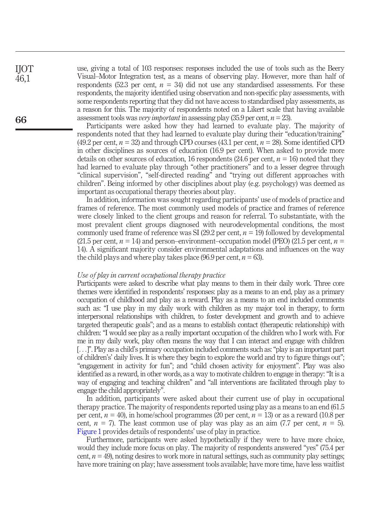IJOT 46,1

use, giving a total of 103 responses: responses included the use of tools such as the Beery Visual–Motor Integration test, as a means of observing play. However, more than half of respondents (52.3 per cent,  $n = 34$ ) did not use any standardised assessments. For these respondents, the majority identified using observation and non-specific play assessments, with some respondents reporting that they did not have access to standardised play assessments, as a reason for this. The majority of respondents noted on a Likert scale that having available assessment tools was *very important* in assessing play  $(35.9 \text{ per cent}, n = 23)$ .

Participants were asked how they had learned to evaluate play. The majority of respondents noted that they had learned to evaluate play during their "education/training" (49.2 per cent,  $n = 32$ ) and through CPD courses (43.1 per cent,  $n = 28$ ). Some identified CPD in other disciplines as sources of education (16.9 per cent). When asked to provide more details on other sources of education, 16 respondents (24.6 per cent,  $n = 16$ ) noted that they had learned to evaluate play through "other practitioners" and to a lesser degree through "clinical supervision", "self-directed reading" and "trying out different approaches with children". Being informed by other disciplines about play (e.g. psychology) was deemed as important as occupational therapy theories about play.

In addition, information was sought regarding participants' use of models of practice and frames of reference. The most commonly used models of practice and frames of reference were closely linked to the client groups and reason for referral. To substantiate, with the most prevalent client groups diagnosed with neurodevelopmental conditions, the most commonly used frame of reference was SI (29.2 per cent,  $n = 19$ ) followed by developmental (21.5 per cent,  $n = 14$ ) and person–environment–occupation model (PEO) (21.5 per cent,  $n =$ 14). A significant majority consider environmental adaptations and influences on the way the child plays and where play takes place (96.9 per cent,  $n = 63$ ).

#### Use of play in current occupational therapy practice

Participants were asked to describe what play means to them in their daily work. Three core themes were identified in respondents' responses: play as a means to an end, play as a primary occupation of childhood and play as a reward. Play as a means to an end included comments such as: "I use play in my daily work with children as my major tool in therapy, to form interpersonal relationships with children, to foster development and growth and to achieve targeted therapeutic goals"; and as a means to establish contact (therapeutic relationship) with children: "I would see play as a really important occupation of the children who I work with. For me in my daily work, play often means the way that I can interact and engage with children [...]". Play as a child's primary occupation included comments such as:"play is an important part of children's' daily lives. It is where they begin to explore the world and try to figure things out"; "engagement in activity for fun"; and "child chosen activity for enjoyment". Play was also identified as a reward, in other words, as a way to motivate children to engage in therapy: "It is a way of engaging and teaching children" and "all interventions are facilitated through play to engage the child appropriately".

In addition, participants were asked about their current use of play in occupational therapy practice. The majority of respondents reported using play as a means to an end (61.5 per cent,  $n = 40$ ), in home/school programmes (20 per cent,  $n = 13$ ) or as a reward (10.8 per cent,  $n = 7$ ). The least common use of play was play as an aim (7.7 per cent,  $n = 5$ ). [Figure 1](#page-8-0) provides details of respondents' use of play in practice.

Furthermore, participants were asked hypothetically if they were to have more choice, would they include more focus on play. The majority of respondents answered "yes" (75.4 per cent,  $n = 49$ ), noting desires to work more in natural settings, such as community play settings; have more training on play; have assessment tools available; have more time, have less waitlist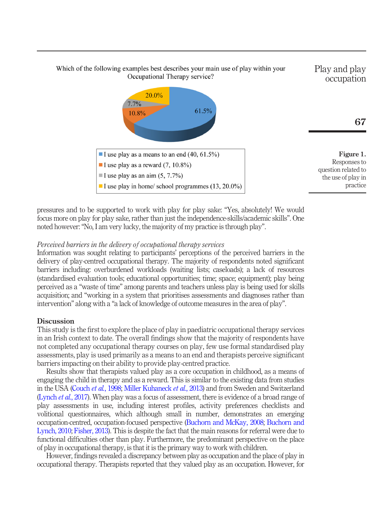

<span id="page-8-0"></span>pressures and to be supported to work with play for play sake: "Yes, absolutely! We would focus more on play for play sake, rather than just the independence-skills/academic skills". One noted however:"No, I am very lucky, the majority of my practice is through play".

#### Perceived barriers in the delivery of occupational therapy services

Information was sought relating to participants' perceptions of the perceived barriers in the delivery of play-centred occupational therapy. The majority of respondents noted significant barriers including: overburdened workloads (waiting lists; caseloads); a lack of resources (standardised evaluation tools; educational opportunities; time; space; equipment); play being perceived as a "waste of time" among parents and teachers unless play is being used for skills acquisition; and "working in a system that prioritises assessments and diagnoses rather than intervention" along with a "a lack of knowledge of outcome measures in the area of play".

# **Discussion**

This study is the first to explore the place of play in paediatric occupational therapy services in an Irish context to date. The overall findings show that the majority of respondents have not completed any occupational therapy courses on play, few use formal standardised play assessments, play is used primarily as a means to an end and therapists perceive significant barriers impacting on their ability to provide play-centred practice.

Results show that therapists valued play as a core occupation in childhood, as a means of engaging the child in therapy and as a reward. This is similar to the existing data from studies in the USA [\(Couch](#page-11-2) et al., 1998; [Miller Kuhaneck](#page-12-1) et al., 2013) and from Sweden and Switzerland [\(Lynch](#page-12-2) et al., 2017). When play was a focus of assessment, there is evidence of a broad range of play assessments in use, including interest profiles, activity preferences checklists and volitional questionnaires, which although small in number, demonstrates an emerging occupation-centred, occupation-focused perspective ([Buchorn and McKay, 2008](#page-11-7); [Buchorn and](#page-11-0) [Lynch, 2010](#page-11-0); [Fisher, 2013\)](#page-12-7). This is despite the fact that the main reasons for referral were due to functional difficulties other than play. Furthermore, the predominant perspective on the place of play in occupational therapy, is that it is the primary way to work with children.

However, findings revealed a discrepancy between play as occupation and the place of play in occupational therapy. Therapists reported that they valued play as an occupation. However, for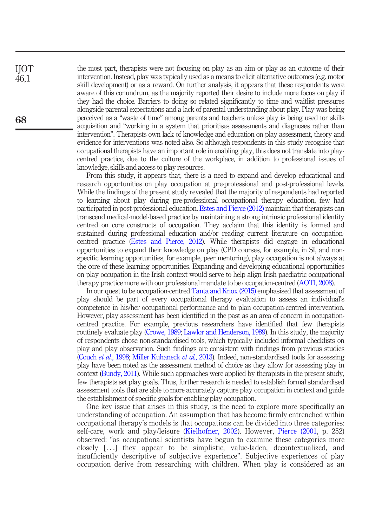the most part, therapists were not focusing on play as an aim or play as an outcome of their intervention. Instead, play was typically used as a means to elicit alternative outcomes (e.g. motor skill development) or as a reward. On further analysis, it appears that these respondents were aware of this conundrum, as the majority reported their desire to include more focus on play if they had the choice. Barriers to doing so related significantly to time and waitlist pressures alongside parental expectations and a lack of parental understanding about play. Play was being perceived as a "waste of time" among parents and teachers unless play is being used for skills acquisition and "working in a system that prioritises assessments and diagnoses rather than intervention". Therapists own lack of knowledge and education on play assessment, theory and evidence for interventions was noted also. So although respondents in this study recognise that occupational therapists have an important role in enabling play, this does not translate into playcentred practice, due to the culture of the workplace, in addition to professional issues of knowledge, skills and access to play resources.

From this study, it appears that, there is a need to expand and develop educational and research opportunities on play occupation at pre-professional and post-professional levels. While the findings of the present study revealed that the majority of respondents had reported to learning about play during pre-professional occupational therapy education, few had participated in post-professional education. [Estes and Pierce \(2012\)](#page-12-18) maintain that therapists can transcend medical-model-based practice by maintaining a strong intrinsic professional identity centred on core constructs of occupation. They acclaim that this identity is formed and sustained during professional education and/or reading current literature on occupationcentred practice [\(Estes and Pierce, 2012](#page-12-18)). While therapists did engage in educational opportunities to expand their knowledge on play (CPD courses, for example, in SI, and nonspecific learning opportunities, for example, peer mentoring), play occupation is not always at the core of these learning opportunities. Expanding and developing educational opportunities on play occupation in the Irish context would serve to help align Irish paediatric occupational therapy practice more with our professional mandate to be occupation-centred [\(AOTI, 2008\)](#page-11-8).

In our quest to be occupation-centred [Tanta and Knox \(2015\)](#page-13-17) emphasised that assessment of play should be part of every occupational therapy evaluation to assess an individual's competence in his/her occupational performance and to plan occupation-centred intervention. However, play assessment has been identified in the past as an area of concern in occupationcentred practice. For example, previous researchers have identified that few therapists routinely evaluate play ([Crowe, 1989](#page-11-12); [Lawlor and Henderson, 1989\)](#page-12-19). In this study, the majority of respondents chose non-standardised tools, which typically included informal checklists on play and play observation. Such findings are consistent with findings from previous studies [\(Couch](#page-11-2) et al., 1998; [Miller Kuhaneck](#page-12-1) et al., 2013). Indeed, non-standardised tools for assessing play have been noted as the assessment method of choice as they allow for assessing play in context [\(Bundy, 2011](#page-11-13)). While such approaches were applied by therapists in the present study, few therapists set play goals. Thus, further research is needed to establish formal standardised assessment tools that are able to more accurately capture play occupation in context and guide the establishment of specific goals for enabling play occupation.

One key issue that arises in this study, is the need to explore more specifically an understanding of occupation. An assumption that has become firmly entrenched within occupational therapy's models is that occupations can be divided into three categories: self-care, work and play/leisure ([Kielhofner, 2002](#page-12-20)). However, [Pierce \(2001,](#page-13-18) p. 252) observed: "as occupational scientists have begun to examine these categories more closely [...] they appear to be simplistic, value-laden, decontextualized, and insufficiently descriptive of subjective experience". Subjective experiences of play occupation derive from researching with children. When play is considered as an

68

IJOT 46,1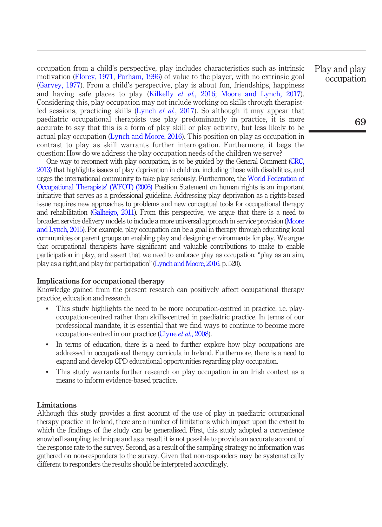occupation from a child's perspective, play includes characteristics such as intrinsic motivation ([Florey, 1971,](#page-12-21) [Parham, 1996\)](#page-13-15) of value to the player, with no extrinsic goal ([Garvey, 1977](#page-12-4)). From a child's perspective, play is about fun, friendships, happiness and having safe places to play ([Kilkelly](#page-12-22)  $et \ al., 2016$ ; [Moore and Lynch, 2017](#page-12-5)). Considering this, play occupation may not include working on skills through therapist-led sessions, practicing skills [\(Lynch](#page-12-2) *et al.*, 2017). So although it may appear that paediatric occupational therapists use play predominantly in practice, it is more accurate to say that this is a form of play skill or play activity, but less likely to be actual play occupation ([Lynch and Moore, 2016](#page-12-0)). This position on play as occupation in contrast to play as skill warrants further interrogation. Furthermore, it begs the question: How do we address the play occupation needs of the children we serve?

One way to reconnect with play occupation, is to be guided by the General Comment [\(CRC,](#page-11-1) [2013\)](#page-11-1) that highlights issues of play deprivation in children, including those with disabilities, and urges the international community to take play seriously. Furthermore, the [World Federation of](#page-13-19) [Occupational Therapists](#page-13-19)' (WFOT) (2006) Position Statement on human rights is an important initiative that serves as a professional guideline. Addressing play deprivation as a rights-based issue requires new approaches to problems and new conceptual tools for occupational therapy and rehabilitation [\(Galheigo, 2011](#page-12-23)). From this perspective, we argue that there is a need to broaden service delivery models to include a more universal approach in service provision [\(Moore](#page-12-16) [and Lynch, 2015\)](#page-12-16). For example, play occupation can be a goal in therapy through educating local communities or parent groups on enabling play and designing environments for play. We argue that occupational therapists have significant and valuable contributions to make to enable participation in play, and assert that we need to embrace play as occupation: "play as an aim, play as a right, and play for participation"[\(Lynch and Moore, 2016](#page-12-0), p. 520).

## Implications for occupational therapy

Knowledge gained from the present research can positively affect occupational therapy practice, education and research.

- This study highlights the need to be more occupation-centred in practice, i.e. playoccupation-centred rather than skills-centred in paediatric practice. In terms of our professional mandate, it is essential that we find ways to continue to become more occupation-centred in our practice [\(Clyne](#page-11-14) et al., 2008).
- In terms of education, there is a need to further explore how play occupations are addressed in occupational therapy curricula in Ireland. Furthermore, there is a need to expand and develop CPD educational opportunities regarding play occupation.
- This study warrants further research on play occupation in an Irish context as a means to inform evidence-based practice.

#### Limitations

Although this study provides a first account of the use of play in paediatric occupational therapy practice in Ireland, there are a number of limitations which impact upon the extent to which the findings of the study can be generalised. First, this study adopted a convenience snowball sampling technique and as a result it is not possible to provide an accurate account of the response rate to the survey. Second, as a result of the sampling strategy no information was gathered on non-responders to the survey. Given that non-responders may be systematically different to responders the results should be interpreted accordingly.

Play and play occupation

69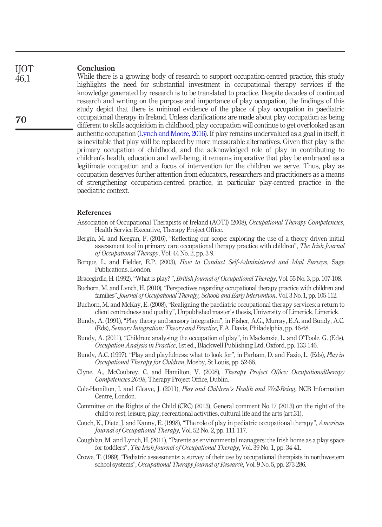#### Conclusion IJOT

46,1

70

While there is a growing body of research to support occupation-centred practice, this study highlights the need for substantial investment in occupational therapy services if the knowledge generated by research is to be translated to practice. Despite decades of continued research and writing on the purpose and importance of play occupation, the findings of this study depict that there is minimal evidence of the place of play occupation in paediatric occupational therapy in Ireland. Unless clarifications are made about play occupation as being different to skills acquisition in childhood, play occupation will continue to get overlooked as an authentic occupation ([Lynch and Moore, 2016\)](#page-12-0). If play remains undervalued as a goal in itself, it is inevitable that play will be replaced by more measurable alternatives. Given that play is the primary occupation of childhood, and the acknowledged role of play in contributing to children's health, education and well-being, it remains imperative that play be embraced as a legitimate occupation and a focus of intervention for the children we serve. Thus, play as occupation deserves further attention from educators, researchers and practitioners as a means of strengthening occupation-centred practice, in particular play-centred practice in the paediatric context.

#### References

- <span id="page-11-8"></span>Association of Occupational Therapists of Ireland (AOTI) (2008), Occupational Therapy Competencies, Health Service Executive, Therapy Project Office.
- <span id="page-11-9"></span>Bergin, M. and Keegan, F. (2016), "Reflecting our scope: exploring the use of a theory driven initial assessment tool in primary care occupational therapy practice with children", The Irish Journal of Occupational Therapy, Vol. 44 No. 2, pp. 3-9.
- <span id="page-11-11"></span>Borque, L. and Fielder, E.P. (2003), How to Conduct Self-Administered and Mail Surveys, Sage Publications, London.
- <span id="page-11-3"></span>Bracegirdle, H. (1992), "What is play?", British Journal of Occupational Therapy, Vol. 55 No. 3, pp. 107-108.
- <span id="page-11-0"></span>Buchorn, M. and Lynch, H. (2010), "Perspectives regarding occupational therapy practice with children and families", Journal of Occupational Therapy, Schools and Early Intervention, Vol. 3 No. 1, pp. 105-112.
- <span id="page-11-7"></span>Buchorn, M. and McKay, E. (2008), "Realigning the paediatric occupational therapy services: a return to client centredness and quality", Unpublished master's thesis, University of Limerick, Limerick.
- <span id="page-11-4"></span>Bundy, A. (1991), "Play theory and sensory integration", in Fisher, A.G., Murray, E.A. and Bundy, A.C. (Eds), Sensory Integration: Theory and Practice, F.A. Davis, Philadelphia, pp. 46-68.
- <span id="page-11-13"></span>Bundy, A. (2011), "Children: analysing the occupation of play", in Mackenzie, L. and O'Toole, G. (Eds), Occupation Analysis in Practice, 1st ed., Blackwell Publishing Ltd, Oxford, pp. 133-146.
- <span id="page-11-5"></span>Bundy, A.C. (1997), "Play and playfulness: what to look for", in Parham, D. and Fazio, L. (Eds), Play in Occupational Therapy for Children, Mosby, St Louis, pp. 52-66.
- <span id="page-11-14"></span>Clyne, A., McCoubrey, C. and Hamilton, V. (2008), Therapy Project Office: Occupationaltherapy Competencies 2008, Therapy Project Office, Dublin.
- <span id="page-11-6"></span>Cole-Hamilton, I. and Gleave, J. (2011), Play and Children's Health and Well-Being, NCB Information Centre, London.
- <span id="page-11-1"></span>Committee on the Rights of the Child (CRC) (2013), General comment No.17 (2013) on the right of the child to rest, leisure, play, recreational activities, cultural life and the arts (art.31).
- <span id="page-11-2"></span>Couch, K., Dietz, J. and Kanny, E. (1998), "The role of play in pediatric occupational therapy", American Journal of Occupational Therapy, Vol. 52 No. 2, pp. 111-117.
- <span id="page-11-10"></span>Coughlan, M. and Lynch, H. (2011),"Parents as environmental managers: the Irish home as a play space for toddlers", The Irish Journal of Occupational Therapy, Vol. 39 No. 1, pp. 34-41.
- <span id="page-11-12"></span>Crowe, T. (1989), "Pediatric assessments: a survey of their use by occupational therapists in northwestern school systems", Occupational Therapy Journal of Research, Vol. 9 No. 5, pp. 273-286.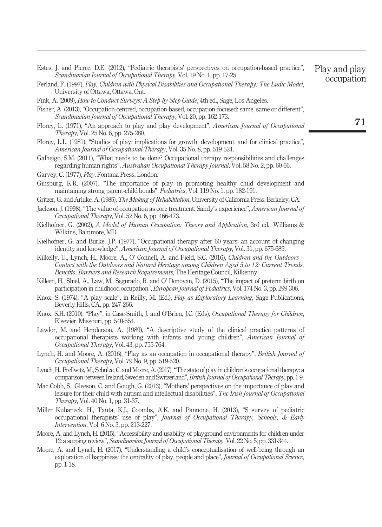<span id="page-12-23"></span><span id="page-12-22"></span><span id="page-12-21"></span><span id="page-12-20"></span><span id="page-12-19"></span><span id="page-12-18"></span><span id="page-12-17"></span><span id="page-12-16"></span><span id="page-12-15"></span><span id="page-12-14"></span><span id="page-12-13"></span><span id="page-12-12"></span><span id="page-12-11"></span><span id="page-12-10"></span><span id="page-12-9"></span><span id="page-12-8"></span><span id="page-12-7"></span><span id="page-12-6"></span><span id="page-12-5"></span><span id="page-12-4"></span><span id="page-12-3"></span><span id="page-12-2"></span><span id="page-12-1"></span><span id="page-12-0"></span>

| Estes, J. and Pierce, D.E. (2012), "Pediatric therapists' perspectives on occupation-based practice",<br>Scandinavian Journal of Occupational Therapy, Vol. 19 No. 1, pp. 17-25.                                                                                                       | Play and play<br>occupation |
|----------------------------------------------------------------------------------------------------------------------------------------------------------------------------------------------------------------------------------------------------------------------------------------|-----------------------------|
| Ferland, F. (1997), Play, Children with Physical Disabilities and Occupational Therapy: The Ludic Model,<br>University of Ottawa, Ottawa, Ont.                                                                                                                                         |                             |
| Fink, A. (2009), How to Conduct Surveys: A Step-by-Step Guide, 4th ed., Sage, Los Angeles.                                                                                                                                                                                             |                             |
| Fisher, A. (2013), "Occupation-centred, occupation-based, occupation-focused: same, same or different",<br>Scandinavian Journal of Occupational Therapy, Vol. 20, pp. 162-173.                                                                                                         |                             |
| Florey, L. (1971), "An approach to play and play development", American Journal of Occupational<br><i>Therapy</i> , Vol. 25 No. 6, pp. 275-280.                                                                                                                                        | 71                          |
| Florey, L.L. (1981), "Studies of play: implications for growth, development, and for clinical practice",<br>American Journal of Occupational Therapy, Vol. 35 No. 8, pp. 519-524.                                                                                                      |                             |
| Galheigo, S.M. (2011), "What needs to be done? Occupational therapy responsibilities and challenges<br>regarding human rights", Australian Occupational Therapy Journal, Vol. 58 No. 2, pp. 60-66.                                                                                     |                             |
| Garvey, C. (1977), Play, Fontana Press, London.                                                                                                                                                                                                                                        |                             |
| Ginsburg, K.R. (2007), "The importance of play in promoting healthy child development and<br>maintaining strong parent-child bonds", Pediatrics, Vol. 119 No. 1, pp. 182-191.                                                                                                          |                             |
| Gritzer, G. and Arluke, A. (1985), The Making of Rehabilitation, University of California Press. Berkeley, CA.                                                                                                                                                                         |                             |
| Jackson, J. (1998), "The value of occupation as core treatment: Sandy's experience", American Journal of<br>Occupational Therapy, Vol. 52 No. 6, pp. 466-473.                                                                                                                          |                             |
| Kielhofner, G. (2002), A Model of Human Occupation: Theory and Application, 3rd ed., Williams &<br>Wilkins, Baltimore, MD.                                                                                                                                                             |                             |
| Kielhofner, G. and Burke, J.P. (1977), "Occupational therapy after 60 years: an account of changing<br>identity and knowledge", American Journal of Occupational Therapy, Vol. 31, pp. 675-689.                                                                                        |                             |
| Kilkelly, U., Lynch, H., Moore, A., O' Connell, A. and Field, S.C. (2016), Children and the Outdoors -<br>Contact with the Outdoors and Natural Heritage among Children Aged 5 to 12: Current Trends,<br>Benefits, Barriers and Research Requirements, The Heritage Council, Kilkenny. |                             |
| Killeen, H., Shiel, A., Law, M., Segurado, R. and O' Donovan, D. (2015), "The impact of preterm birth on<br>participation in childhood occupation", European Journal of Pediatrics, Vol. 174 No. 3, pp. 299-306.                                                                       |                             |
| Knox, S. (1974), "A play scale", in Reilly, M. (Ed.), Play as Exploratory Learning, Sage Publications,<br>Beverly Hills, CA, pp. 247-266.                                                                                                                                              |                             |
| Knox, S.H. (2010), "Play", in Case-Smith, J. and O'Brien, J.C. (Eds), Occupational Therapy for Children,<br>Elsevier, Missouri, pp. 540-554.                                                                                                                                           |                             |
| Lawlor, M. and Henderson, A. (1989), "A descriptive study of the clinical practice patterns of<br>occupational therapists working with infants and young children", American Journal of<br>Occupational Therapy, Vol. 43, pp. 755-764.                                                 |                             |
| Lynch, H. and Moore, A. (2016), "Play as an occupation in occupational therapy", <i>British Journal of</i><br>Occupational Therapy, Vol. 79 No. 9, pp. 519-520.                                                                                                                        |                             |
| Lynch, H., Prellwitz, M., Schulze, C. and Moore, A. (2017), "The state of play in children's occupational therapy: a<br>comparison between Ireland, Sweden and Switzerland", British Journal of Occupational Therapy, pp. 1-9.                                                         |                             |
| Mac Cobb, S., Gleeson, C. and Gough, G. (2013), "Mothers' perspectives on the importance of play and<br>leisure for their child with autism and intellectual disabilities", The Irish Journal of Occupational<br><i>Therapy</i> , Vol. 40 No. 1, pp. 31-37.                            |                             |
| Miller Kuhaneck, H., Tanta, K.J., Coombs, A.K. and Pannone, H. (2013), "S survey of pediatric<br>occupational therapists' use of play", Journal of Occupational Therapy, Schools, & Early<br><i>Intervention</i> , Vol. 6 No. 3, pp. 213-227.                                          |                             |
| Moore, A. and Lynch, H. (2015), "Accessibility and usability of playground environments for children under<br>12: a scoping review", Scandinavian Journal of Occupational Therapy, Vol. 22 No. 5, pp. 331-344.                                                                         |                             |
| Moore, A. and Lynch, H. (2017), "Understanding a child's conceptualisation of well-being through an<br>exploration of happiness: the centrality of play, people and place", Journal of Occupational Science,<br>pp. 1-18.                                                              |                             |
|                                                                                                                                                                                                                                                                                        |                             |